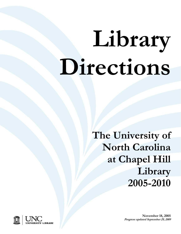# **Library Directions**

**The University of North Carolina at Chapel Hill Library 2005-2010**



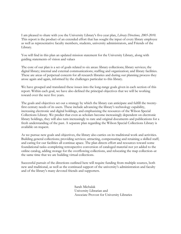I am pleased to share with you the University Library's five-year plan, *Library Directions, 2005-2010*. This report is the product of an extended effort that has sought the input of every library employee as well as representative faculty members, students, university administrators, and Friends of the Library.

You will find in this plan an updated mission statement for the University Library, along with guiding statements of vision and values

The core of our plan is a set of goals related to six areas: library collections; library services; the digital library; internal and external communications; staffing and organization; and library facilities. These are areas of perpetual concern for all research libraries and during our planning process they arose again and again, informed by the challenges particular to this library.

We have grouped and translated these issues into the long-range goals given in each section of this report. Within each goal, we have also defined the principal objectives that we will be working toward over the next five years.

The goals and objectives set out a strategy by which the library can anticipate and fulfill the twentyfirst century needs of its users. These include advancing the library's technology capability, increasing electronic and digital holdings, and emphasizing the resources of the Wilson Special Collections Library. We predict that even as scholars become increasingly dependent on electronic library holdings, they will also turn increasingly to rare and original documents and publications for a fresh understanding of the past. A separate plan regarding the Wilson Special Collections Library is available on request.

As we pursue new goals and objectives, the library also carries on its traditional work and activities. Building general collections; providing services; attracting, compensating and retaining a skilled staff; and caring for our facilities all continue apace. The plan directs effort and resources toward some foundational tasks–completing retrospective conversion of cataloged material not yet added to the online catalog, adding storage for the overflowing collections, and relocating the map collection–at the same time that we are building virtual collections.

Successful pursuit of the directions outlined here will require funding from multiple sources, both new and traditional, as well as the continued support of the university's administration and faculty and of the library's many devoted friends and supporters.

> Sarah Michalak University Librarian and Associate Provost for University Libraries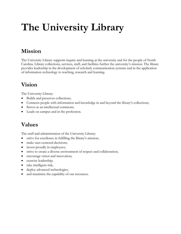## **The University Library**

## **Mission**

The University Library supports inquiry and learning at the university and for the people of North Carolina. Library collections, services, staff, and facilities further the university's mission. The library provides leadership in the development of scholarly communication systems and in the application of information technology to teaching, research and learning.

## **Vision**

The University Library:

- Builds and preserves collections;
- Connects people with information and knowledge in and beyond the library's collections;
- Serves as an intellectual commons;
- Leads on campus and in the profession.

### **Values**

The staff and administration of the University Library:

- strive for excellence in fulfilling the library's mission;
- make user-centered decisions;
- invest proudly in employees;
- strive to create a diverse environment of respect and collaboration;
- encourage vision and innovation;
- exercise leadership;
- take intelligent risk;
- deploy advanced technologies;
- and maximize the capability of our resources.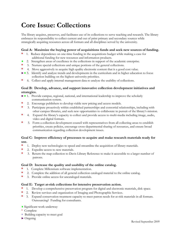## **Core Issue: Collections**

The library acquires, preserves, and facilitates use of its collections to serve teaching and research. The library embraces its responsibility to collect current and out of print primary and secondary sources while strategically acquiring resources across all formats and all disciplines served by the university.

#### **Goal A: Maximize the buying power of acquisitions funds and seek new sources of funding.**

- **\*** 1. Reduce dependence on one-time funding in the acquisitions budget while making a case for additional funding for new resources and information products.
- 2. Strengthen areas of excellence in the collections in support of the academic enterprise.
- **\*** 3.Nurture special collections and unique portions of the general collections.
- **\*** 4. Move aggressively to acquire high quality electronic content that is a good cost value.
- ►♦ 5. Identify and analyze trends and developments in the curriculum and in higher education to focus collection building on the highest university priorities.
- **\*** 6. Collect and apply internal management data to analyze the usability of collections.

#### **Goal B: Develop, advance, and support innovative collection development initiatives and strategies.**

- ►**♦** 1. Provide campus, regional, national, and international leadership to improve the scholarly communication system.
- **\*** 2. Encourage publishers to develop viable new pricing and access models.
- **\*** 3. Participate proactively within established partnerships and consortial relationships, including with other campus libraries, and seek new opportunities to collaborate in pursuit of the library's mission.
- **\*** 4. Expand the library's capacity to collect and provide access to multi-media including image, audio, video and digital formats.
- **\*** 5. Form a collection development council with representatives from all collecting areas to establish priorities, create policies, encourage cross-departmental sharing of resources, and ensure broad communication regarding collection development issues.

#### **Goal C: Improve efficiency of processes to acquire and make research materials ready for use.**

- **\*** 1. Deploy new technologies to speed and streamline the acquisition of library materials.
- **\*** 2. Expedite access to new materials.
- **\*** 3. Return the map collection to Davis Library Reference to make it accessible to a larger number of patrons.

#### **Goal D: Increase the quality and usability of the online catalog.**

- **\*** 1. Complete Millennium software implementation.
- **\*** 2. Complete the addition of all general collection cataloged material to the online catalog.
- **\*** 3. Provide online access for uncataloged materials.

#### **Goal E: Target at-risk collections for intensive preservation action.**

- **\*** 1. Develop a comprehensive preservation program for digital and electronic materials, disk space.
- **\*** 2. Review services and organization of Imaging and Photographic Services.
- **\*** 3. Expand conservation treatment capacity to meet patron needs for at-risk materials in all formats. Outsourcing? Funding for consultants.
- ♦ Significant work underway
- \* Complete
- + Building capacity to meet goal
- $\triangleright$  Ongoing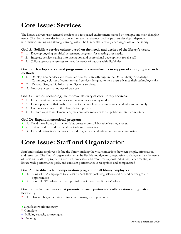## **Core Issue: Services**

The library delivers user-centered services in a fast-paced environment marked by multiple and ever-changing needs. The library provides instruction and research assistance, and helps users develop independent information-finding and lifelong learning skills. The library staff actively encourages use of the library.

#### **Goal A: Solidify a service culture based on the needs and desires of the library's users.**

- **\*** 1. Develop ongoing empirical assessment programs for meeting user needs.
- **\*** 2. Integrate service training into orientation and professional development for all staff.
- **\*** 3. Tailor appropriate services to meet the needs of patrons with disabilities.

#### **Goal B: Develop and expand programmatic commitments in support of emerging research methods.**

- **♦** 1. Develop new services and introduce new software offerings in the Davis Library Knowledge Commons, a cluster of computers and services designed to help users advance their technology skills.
- **\*** 2. Expand Geographic Information Systems services.
- **\*** 3. Improve access to and use of data sets.

#### **Goal C: Exploit technology to improve delivery of core library services.**

- **\*** 1. Experiment with new services and new service delivery modes.
- **\*** 2. Develop systems that enable patrons to transact library business independently and remotely.
- **\*** 3. Continuously improve the library's Web presence.
- **\*** 4. Explore ways to implement a 3-year computer roll-over for all public and staff computers.

#### **Goal D: Expand instructional programs.**

- **♦** 1. Build more library instruction labs, create more collaborative learning spaces.
- **♦** 2. Extend and expand partnerships to deliver instruction.
- **\*** 3. Expand instructional services offered to graduate students as well as undergraduates.

## **Core Issue: Staff and Organization**

Staff and student employees define the library, making the vital connections between people, information, and resources. The library's organization must be flexible and dynamic, responsive to change and to the needs of users and staff. Appropriate structures, processes, and resources support individual, departmental, and library-wide performance goals, and excellent performance is recognized and compensated

#### **Goal A: Establish a fair compensation program for all library employees.**

- **♦** 1.Bring all SPA employees to at least 95% of their qualifying salaries and expand career growth opportunities.
- **♦** 2.Bring all EPA salaries to the top third of ARL member libraries' salaries.

#### **Goal B: Initiate activities that promote cross-departmental collaboration and greater flexibility.**

**\*** 1. Plan and begin recruitment for senior management positions.

#### ♦ Significant work underway

- \* Complete
- + Building capacity to meet goal
- ► Ongoing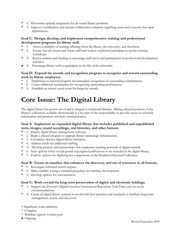- **\*** 2. Determine optimal assignment for all vacant library positions.
- **\*** 3. Improve coordination and nurture collaborative solutions regarding issues and concerns that span departments.

#### **Goal C: Design, develop, and implement comprehensive training and professional development programs for library staff.**

- **\*** 1. Assess availability of training offerings from the library, the university, and elsewhere.
- **\*** 2. Ensure that all current and future staff and student employees participate in service training workshops.
- **\*** 3. Review policies and funding to encourage staff travel and participation in professional development activities.
- 4. Encourage library staff to participate in the life of the university.

#### **Goal D: Expand the awards and recognition program to recognize and reward outstanding work by library employees.**

- **\*** 1. Implement an internal program for immediate recognition of outstanding contributions.
- **\*** 2. Create additional mechanisms for recognizing outstanding performance.
- **\*** 3. Establish an annual social event for longevity awards.

## **Core Issue: The Digital Library**

The digital library has grown out of and is integral to traditional libraries. Making selected portions of the library's collections available electronically is a key part of the responsibility to provide access to scholarly information and promote scholarly communication.

#### **Goal A: Implement an expanded digital library that includes published and unpublished texts, images, sound recordings, oral histories, and other formats.**

- **\*** 1. Deploy digital library management software.
- **\*** 2. Begin a phased program to upgrade library technology infrastructure.
- **\*** 3. Coordinate discrete digital library initiatives.
- **\*** 4. Address needs for additional staffing.
- **\*** 5. Develop projects and partnerships that emphasize teaching potential of digital content.
- **\*** 6. Seek options which would permit copyrighted publications to be included in the digital library.
- **\*** 7. Explore options for digitizing key components of the Southern Historical Collection.

#### **Goal B: Create an interface that enhances the discovery and use of resources in all formats.**

- **\*** 1. Investigate federated search engines.
- **\*** 2. Make usability testing a standard procedure for interface development.
- **\*** 3. Develop options for customization.

#### **Goal C: Work toward the long-term preservation of digital and electronic holdings.**

- **\*** 1. Support the Provost's Digital Curation/Institutional Repository Task Force and act on its recommendations.
- **\*** 2. Create all digital library content in accord with best practices and standards to facilitate long-term management, access, and discovery.
- ♦ Significant work underway
- \* Complete
- + Building capacity to meet goal
- $\triangleright$  Ongoing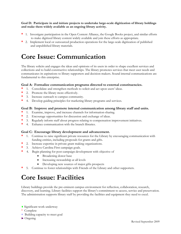**Goal D: Participate in and initiate projects to undertake large-scale digitization of library holdings and make them widely available as an ongoing library activity.** 

- **\*** 1. Investigate participation in the Open Content Alliance, the Google Books project, and similar efforts to make digitized library content widely available and join these efforts as appropriate.
- **\*** 2. Implement local or outsourced production operations for the large-scale digitization of published and unpublished library materials.

## **Core Issue: Communication**

The library solicits and engages the ideas and opinions of its users in order to shape excellent services and collections and to build constructive relationships. The library promotes services that meet user needs and communicates its aspirations to library supporters and decision-makers. Sound internal communications are fundamental to this enterprise.

#### **Goal A: Formalize communication programs directed to external constituencies.**

- **\*** 1. Consolidate and strengthen methods to solicit and act upon users' ideas.
- \* 2. Promote the library more effectively.<br>\* 3 Increase outreach to campus community
- **\*** 3. Increase outreach to campus community.
- **\*** 4. Develop guiding principles for marketing library programs and services.

#### **Goal B: Improve and promote internal communication among library staff and units.**

- **\*** 1. Examine, improve, and increase channels for information-sharing.
- **\*** 2. Encourage opportunities for discussion and exchange of ideas.
- **\*** 3. Regularly inform staff about progress relating to compensation improvement initiatives.
- **\*** 4. Enhance communication with the branch libraries.

#### **Goal C: Encourage library development and advancement.**

- **\*** 1. Continue to raise significant private resources for the Library by encouraging communication with funding entities, including proposals for grants and gifts.
- **\*** 2. Increase expertise in private grant making organizations.
- **\*** 3. Achieve Carolina First campaign goals.
- **\*** 4. Begin planning for post-campaign development with objective of
	- Broadening donor base
	- Increasing stewardship at all levels
	- Developing new sources of major gifts prospects
- **\*** 5. Continue to foster relationships with Friends of the Library and other supporters.

## **Core Issue: Facilities**

Library buildings provide the pre-eminent campus environment for reflection, collaboration, research, discovery, and learning. Library facilities support the library's commitment to access, service and preservation. The administration supports library staff by providing the facilities and equipment they need to excel.

- ♦ Significant work underway
- \* Complete
- + Building capacity to meet goal
- ► Ongoing